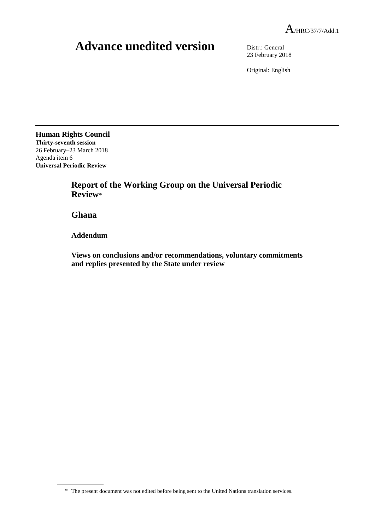## **Advance unedited version** Distr.: General

23 February 2018

Original: English

**Human Rights Council Thirty-seventh session** 26 February–23 March 2018 Agenda item 6 **Universal Periodic Review**

> **Report of the Working Group on the Universal Periodic Review**\*

**Ghana**

**Addendum**

**Views on conclusions and/or recommendations, voluntary commitments and replies presented by the State under review**

 $A$ /HRC/37/7/Add.1

<sup>\*</sup> The present document was not edited before being sent to the United Nations translation services.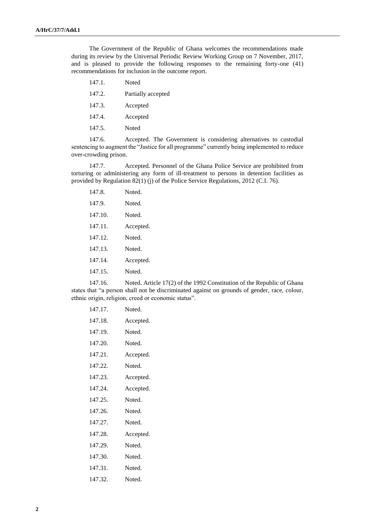The Government of the Republic of Ghana welcomes the recommendations made during its review by the Universal Periodic Review Working Group on 7 November, 2017, and is pleased to provide the following responses to the remaining forty-one (41) recommendations for inclusion in the outcome report.

- 147.1. Noted
- 147.2. Partially accepted
- 147.3. Accepted
- 147.4. Accepted
- 147.5. Noted

147.6. Accepted. The Government is considering alternatives to custodial sentencing to augment the "Justice for all programme" currently being implemented to reduce over-crowding prison.

147.7. Accepted. Personnel of the Ghana Police Service are prohibited from torturing or administering any form of ill-treatment to persons in detention facilities as provided by Regulation 82(1) (j) of the Police Service Regulations, 2012 (C.I. 76).

| 147.8.  | Noted     |
|---------|-----------|
| 147.9.  | Noted     |
| 147.10. | Noted.    |
| 147.11. | Accepted. |
| 147 12  | Noted     |
| 147.13. | Noted     |
| 147 14  | Accepted. |
| 147.15. | Noted     |
|         |           |

147.16. Noted. Article 17(2) of the 1992 Constitution of the Republic of Ghana states that "a person shall not be discriminated against on grounds of gender, race, colour, ethnic origin, religion, creed or economic status".

| 147.17. | Noted.    |
|---------|-----------|
| 147.18. | Accepted. |
| 147.19. | Noted.    |
| 147.20. | Noted.    |
| 147.21. | Accepted. |
| 147.22. | Noted.    |
| 147.23. | Accepted. |
| 147.24. | Accepted. |
| 147.25. | Noted.    |
| 147.26. | Noted.    |
| 147.27. | Noted.    |
| 147.28. | Accepted. |
| 147.29. | Noted.    |
| 147.30. | Noted.    |
| 147.31. | Noted.    |
| 147.32. | Noted.    |